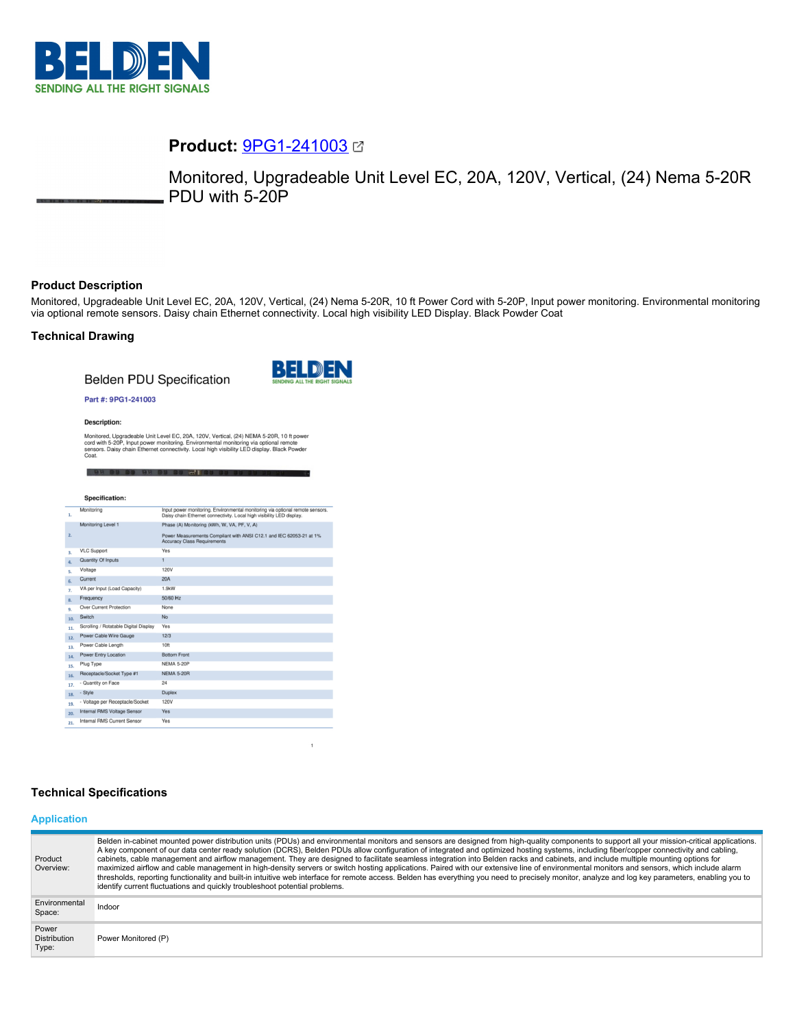

# **Product:** [9PG1-241003](https://catalog.belden.com/index.cfm?event=pd&p=PF_9PG1241003&tab=downloads)

Monitored, Upgradeable Unit Level EC, 20A, 120V, Vertical, (24) Nema 5-20R PDU with 5-20P

# **Product Description**

Monitored, Upgradeable Unit Level EC, 20A, 120V, Vertical, (24) Nema 5-20R, 10 ft Power Cord with 5-20P, Input power monitoring. Environmental monitoring via optional remote sensors. Daisy chain Ethernet connectivity. Local high visibility LED Display. Black Powder Coat

## **Technical Drawing**

**Belden PDU Specification** 



#### Part #: 9PG1-241003

Description:

98 99 99 31 99 91

| <b>Specification:</b> |  |  |
|-----------------------|--|--|
|                       |  |  |

| 1.  | Monitoring                            | Input power monitoring. Environmental monitoring via optional remote sensors.<br>Daisy chain Ethernet connectivity. Local high visibility LED display. |
|-----|---------------------------------------|--------------------------------------------------------------------------------------------------------------------------------------------------------|
|     | Monitoring Level 1                    | Phase (A) Monitoring (kWh, W, VA, PF, V, A)                                                                                                            |
| 2.  |                                       | Power Measurements Compliant with ANSI C12.1 and IEC 62053-21 at 1%<br><b>Accuracy Class Requirements</b>                                              |
| 3.  | <b>VLC Support</b>                    | Yes                                                                                                                                                    |
| 4.  | Quantity Of Inputs                    |                                                                                                                                                        |
| s.  | Voltage                               | <b>120V</b>                                                                                                                                            |
| 6.  | Current                               | 20A                                                                                                                                                    |
| 7.  | VA per Input (Load Capacity)          | 1.9kW                                                                                                                                                  |
| 8.  | Frequency                             | 50/60 Hz                                                                                                                                               |
| ۹.  | Over Current Protection               | None                                                                                                                                                   |
| 10. | Switch                                | <b>No</b>                                                                                                                                              |
| 11. | Scrolling / Rotatable Digital Display | Yes                                                                                                                                                    |
| 12. | Power Cable Wire Gauge                | 12/3                                                                                                                                                   |
| 13. | Power Cable Length                    | 10ft                                                                                                                                                   |
| 14. | Power Entry Location                  | <b>Bottom Front</b>                                                                                                                                    |
| 15. | Plug Type                             | <b>NEMA 5-20P</b>                                                                                                                                      |
| 16. | Receptacle/Socket Type #1             | <b>NEMA 5-20R</b>                                                                                                                                      |
| 17. | - Quantity on Face                    | 24                                                                                                                                                     |
| 18. | - Style                               | <b>Duplex</b>                                                                                                                                          |
| 19. | - Voltage per Receptacle/Socket       | 120V                                                                                                                                                   |
| 20. | Internal RMS Voltage Sensor           | Yes                                                                                                                                                    |
| 21. | Internal RMS Current Sensor           | Yes                                                                                                                                                    |

# **Technical Specifications**

#### **Application**

| Product<br>Overview:                  | Belden in-cabinet mounted power distribution units (PDUs) and environmental monitors and sensors are designed from high-quality components to support all your mission-critical applications.<br>A key component of our data center ready solution (DCRS), Belden PDUs allow configuration of integrated and optimized hosting systems, including fiber/copper connectivity and cabling,<br>cabinets, cable management and airflow management. They are designed to facilitate seamless integration into Belden racks and cabinets, and include multiple mounting options for<br>maximized airflow and cable management in high-density servers or switch hosting applications. Paired with our extensive line of environmental monitors and sensors, which include alarm<br>thresholds, reporting functionality and built-in intuitive web interface for remote access. Belden has everything you need to precisely monitor, analyze and log key parameters, enabling you to<br>identify current fluctuations and quickly troubleshoot potential problems. |
|---------------------------------------|-------------------------------------------------------------------------------------------------------------------------------------------------------------------------------------------------------------------------------------------------------------------------------------------------------------------------------------------------------------------------------------------------------------------------------------------------------------------------------------------------------------------------------------------------------------------------------------------------------------------------------------------------------------------------------------------------------------------------------------------------------------------------------------------------------------------------------------------------------------------------------------------------------------------------------------------------------------------------------------------------------------------------------------------------------------|
| Environmental<br>Space:               | Indoor                                                                                                                                                                                                                                                                                                                                                                                                                                                                                                                                                                                                                                                                                                                                                                                                                                                                                                                                                                                                                                                      |
| Power<br><b>Distribution</b><br>Type: | Power Monitored (P)                                                                                                                                                                                                                                                                                                                                                                                                                                                                                                                                                                                                                                                                                                                                                                                                                                                                                                                                                                                                                                         |